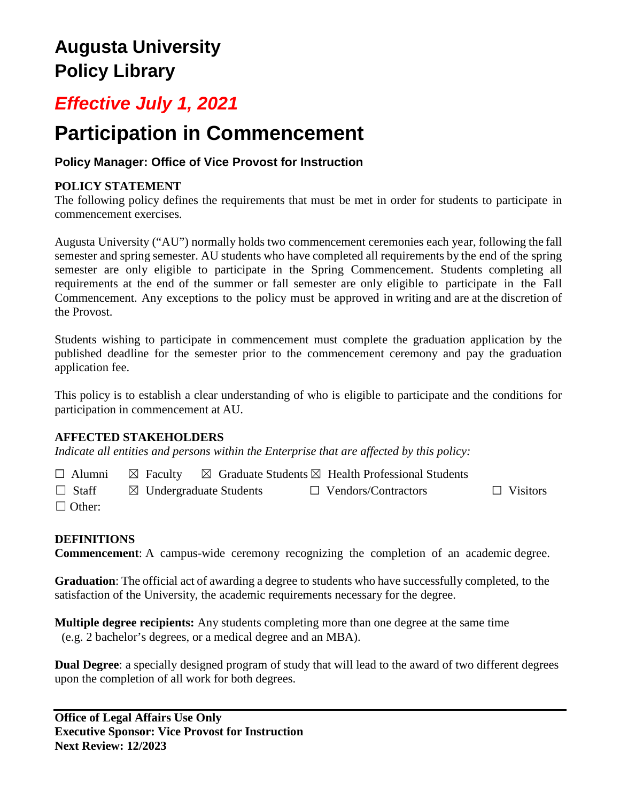# **Augusta University Policy Library**

# *Effective July 1, 2021*

# **Participation in Commencement**

# **Policy Manager: Office of Vice Provost for Instruction**

## **POLICY STATEMENT**

The following policy defines the requirements that must be met in order for students to participate in commencement exercises*.*

Augusta University ("AU") normally holds two commencement ceremonies each year, following the fall semester and spring semester. AU students who have completed all requirements by the end of the spring semester are only eligible to participate in the Spring Commencement. Students completing all requirements at the end of the summer or fall semester are only eligible to participate in the Fall Commencement. Any exceptions to the policy must be approved in writing and are at the discretion of the Provost.

Students wishing to participate in commencement must complete the graduation application by the published deadline for the semester prior to the commencement ceremony and pay the graduation application fee.

This policy is to establish a clear understanding of who is eligible to participate and the conditions for participation in commencement at AU.

### **AFFECTED STAKEHOLDERS**

*Indicate all entities and persons within the Enterprise that are affected by this policy:* 

 $\Box$  Alumni  $\boxtimes$  Faculty  $\boxtimes$  Graduate Students  $\boxtimes$  Health Professional Students

☐ Staff ☒ Undergraduate Students ☐ Vendors/Contractors ☐ Visitors

□ Other:

## **DEFINITIONS**

**Commencement**: A campus-wide ceremony recognizing the completion of an academic degree.

**Graduation**: The official act of awarding a degree to students who have successfully completed, to the satisfaction of the University, the academic requirements necessary for the degree.

**Multiple degree recipients:** Any students completing more than one degree at the same time (e.g. 2 bachelor's degrees, or a medical degree and an MBA).

**Dual Degree**: a specially designed program of study that will lead to the award of two different degrees upon the completion of all work for both degrees.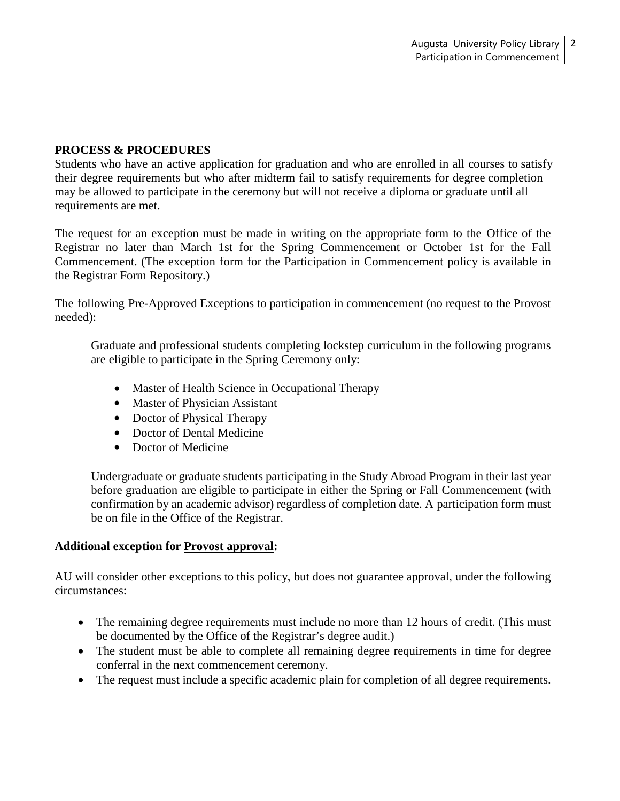#### **PROCESS & PROCEDURES**

Students who have an active application for graduation and who are enrolled in all courses to satisfy their degree requirements but who after midterm fail to satisfy requirements for degree completion may be allowed to participate in the ceremony but will not receive a diploma or graduate until all requirements are met.

The request for an exception must be made in writing on the appropriate form to the Office of the Registrar no later than March 1st for the Spring Commencement or October 1st for the Fall Commencement. (The exception form for the Participation in Commencement policy is available in the Registrar Form Repository.)

The following Pre-Approved Exceptions to participation in commencement (no request to the Provost needed):

Graduate and professional students completing lockstep curriculum in the following programs are eligible to participate in the Spring Ceremony only:

- Master of Health Science in Occupational Therapy
- Master of Physician Assistant
- Doctor of Physical Therapy
- Doctor of Dental Medicine
- Doctor of Medicine

Undergraduate or graduate students participating in the Study Abroad Program in their last year before graduation are eligible to participate in either the Spring or Fall Commencement (with confirmation by an academic advisor) regardless of completion date. A participation form must be on file in the Office of the Registrar.

#### **Additional exception for Provost approval:**

AU will consider other exceptions to this policy, but does not guarantee approval, under the following circumstances:

- The remaining degree requirements must include no more than 12 hours of credit. (This must be documented by the Office of the Registrar's degree audit.)
- The student must be able to complete all remaining degree requirements in time for degree conferral in the next commencement ceremony.
- The request must include a specific academic plain for completion of all degree requirements.